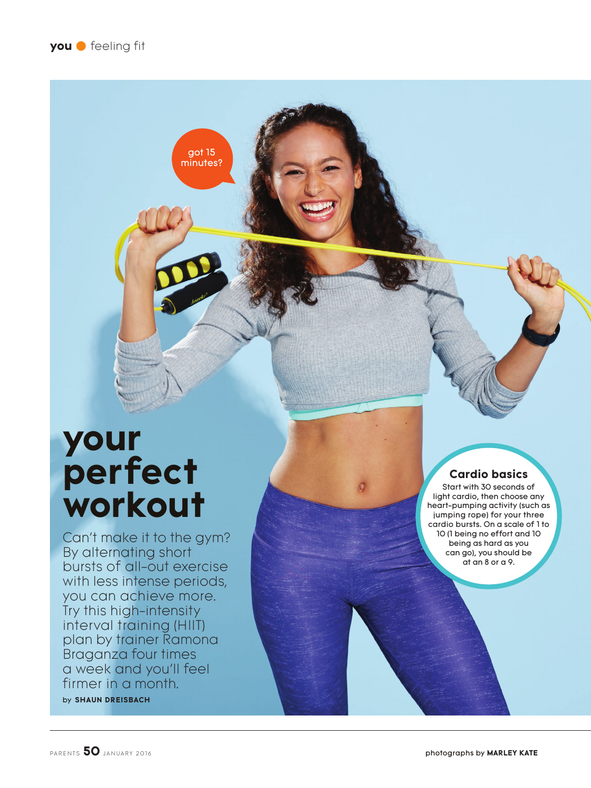got 15 minutes?

# **your perfect workout**

Can't make it to the gym? By alternating short bursts of all-out exercise with less intense periods, you can achieve more. Try this high-intensity interval training (HIIT) plan by trainer Ramona Braganza four times a week and you'll feel firmer in a month.

by **SHAUN DREISBACH**

# **Cardio basics**

Start with 30 seconds of light cardio, then choose any heart-pumping activity (such as jumping rope) for your three cardio bursts. On a scale of 1 to 10 (1 being no effort and 10 being as hard as you can go), you should be at an 8 or a 9.